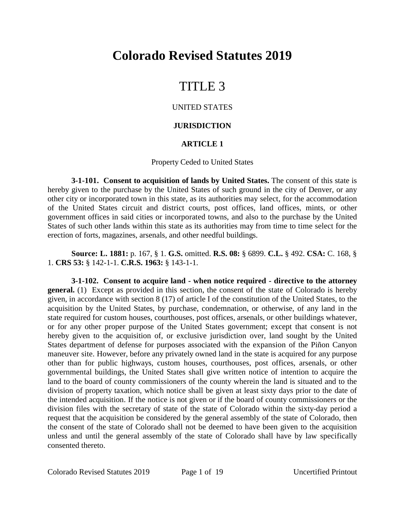# **Colorado Revised Statutes 2019**

# TITLE 3

### UNITED STATES

#### **JURISDICTION**

#### **ARTICLE 1**

#### Property Ceded to United States

**3-1-101. Consent to acquisition of lands by United States.** The consent of this state is hereby given to the purchase by the United States of such ground in the city of Denver, or any other city or incorporated town in this state, as its authorities may select, for the accommodation of the United States circuit and district courts, post offices, land offices, mints, or other government offices in said cities or incorporated towns, and also to the purchase by the United States of such other lands within this state as its authorities may from time to time select for the erection of forts, magazines, arsenals, and other needful buildings.

**Source: L. 1881:** p. 167, § 1. **G.S.** omitted. **R.S. 08:** § 6899. **C.L.** § 492. **CSA:** C. 168, § 1. **CRS 53:** § 142-1-1. **C.R.S. 1963:** § 143-1-1.

**3-1-102. Consent to acquire land - when notice required - directive to the attorney general.** (1) Except as provided in this section, the consent of the state of Colorado is hereby given, in accordance with section 8 (17) of article I of the constitution of the United States, to the acquisition by the United States, by purchase, condemnation, or otherwise, of any land in the state required for custom houses, courthouses, post offices, arsenals, or other buildings whatever, or for any other proper purpose of the United States government; except that consent is not hereby given to the acquisition of, or exclusive jurisdiction over, land sought by the United States department of defense for purposes associated with the expansion of the Piñon Canyon maneuver site. However, before any privately owned land in the state is acquired for any purpose other than for public highways, custom houses, courthouses, post offices, arsenals, or other governmental buildings, the United States shall give written notice of intention to acquire the land to the board of county commissioners of the county wherein the land is situated and to the division of property taxation, which notice shall be given at least sixty days prior to the date of the intended acquisition. If the notice is not given or if the board of county commissioners or the division files with the secretary of state of the state of Colorado within the sixty-day period a request that the acquisition be considered by the general assembly of the state of Colorado, then the consent of the state of Colorado shall not be deemed to have been given to the acquisition unless and until the general assembly of the state of Colorado shall have by law specifically consented thereto.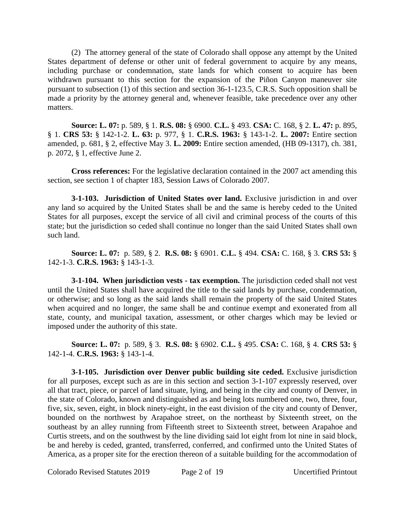(2) The attorney general of the state of Colorado shall oppose any attempt by the United States department of defense or other unit of federal government to acquire by any means, including purchase or condemnation, state lands for which consent to acquire has been withdrawn pursuant to this section for the expansion of the Piñon Canyon maneuver site pursuant to subsection (1) of this section and section 36-1-123.5, C.R.S. Such opposition shall be made a priority by the attorney general and, whenever feasible, take precedence over any other matters.

**Source: L. 07:** p. 589, § 1. **R.S. 08:** § 6900. **C.L.** § 493. **CSA:** C. 168, § 2. **L. 47:** p. 895, § 1. **CRS 53:** § 142-1-2. **L. 63:** p. 977, § 1. **C.R.S. 1963:** § 143-1-2. **L. 2007:** Entire section amended, p. 681, § 2, effective May 3. **L. 2009:** Entire section amended, (HB 09-1317), ch. 381, p. 2072, § 1, effective June 2.

**Cross references:** For the legislative declaration contained in the 2007 act amending this section, see section 1 of chapter 183, Session Laws of Colorado 2007.

**3-1-103. Jurisdiction of United States over land.** Exclusive jurisdiction in and over any land so acquired by the United States shall be and the same is hereby ceded to the United States for all purposes, except the service of all civil and criminal process of the courts of this state; but the jurisdiction so ceded shall continue no longer than the said United States shall own such land.

**Source: L. 07:** p. 589, § 2. **R.S. 08:** § 6901. **C.L.** § 494. **CSA:** C. 168, § 3. **CRS 53:** § 142-1-3. **C.R.S. 1963:** § 143-1-3.

**3-1-104. When jurisdiction vests - tax exemption.** The jurisdiction ceded shall not vest until the United States shall have acquired the title to the said lands by purchase, condemnation, or otherwise; and so long as the said lands shall remain the property of the said United States when acquired and no longer, the same shall be and continue exempt and exonerated from all state, county, and municipal taxation, assessment, or other charges which may be levied or imposed under the authority of this state.

**Source: L. 07:** p. 589, § 3. **R.S. 08:** § 6902. **C.L.** § 495. **CSA:** C. 168, § 4. **CRS 53:** § 142-1-4. **C.R.S. 1963:** § 143-1-4.

**3-1-105. Jurisdiction over Denver public building site ceded.** Exclusive jurisdiction for all purposes, except such as are in this section and section 3-1-107 expressly reserved, over all that tract, piece, or parcel of land situate, lying, and being in the city and county of Denver, in the state of Colorado, known and distinguished as and being lots numbered one, two, three, four, five, six, seven, eight, in block ninety-eight, in the east division of the city and county of Denver, bounded on the northwest by Arapahoe street, on the northeast by Sixteenth street, on the southeast by an alley running from Fifteenth street to Sixteenth street, between Arapahoe and Curtis streets, and on the southwest by the line dividing said lot eight from lot nine in said block, be and hereby is ceded, granted, transferred, conferred, and confirmed unto the United States of America, as a proper site for the erection thereon of a suitable building for the accommodation of

Colorado Revised Statutes 2019 Page 2 of 19 Uncertified Printout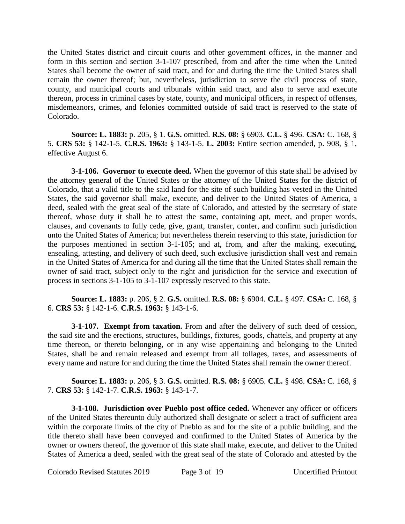the United States district and circuit courts and other government offices, in the manner and form in this section and section 3-1-107 prescribed, from and after the time when the United States shall become the owner of said tract, and for and during the time the United States shall remain the owner thereof; but, nevertheless, jurisdiction to serve the civil process of state, county, and municipal courts and tribunals within said tract, and also to serve and execute thereon, process in criminal cases by state, county, and municipal officers, in respect of offenses, misdemeanors, crimes, and felonies committed outside of said tract is reserved to the state of Colorado.

**Source: L. 1883:** p. 205, § 1. **G.S.** omitted. **R.S. 08:** § 6903. **C.L.** § 496. **CSA:** C. 168, § 5. **CRS 53:** § 142-1-5. **C.R.S. 1963:** § 143-1-5. **L. 2003:** Entire section amended, p. 908, § 1, effective August 6.

**3-1-106. Governor to execute deed.** When the governor of this state shall be advised by the attorney general of the United States or the attorney of the United States for the district of Colorado, that a valid title to the said land for the site of such building has vested in the United States, the said governor shall make, execute, and deliver to the United States of America, a deed, sealed with the great seal of the state of Colorado, and attested by the secretary of state thereof, whose duty it shall be to attest the same, containing apt, meet, and proper words, clauses, and covenants to fully cede, give, grant, transfer, confer, and confirm such jurisdiction unto the United States of America; but nevertheless therein reserving to this state, jurisdiction for the purposes mentioned in section 3-1-105; and at, from, and after the making, executing, ensealing, attesting, and delivery of such deed, such exclusive jurisdiction shall vest and remain in the United States of America for and during all the time that the United States shall remain the owner of said tract, subject only to the right and jurisdiction for the service and execution of process in sections 3-1-105 to 3-1-107 expressly reserved to this state.

**Source: L. 1883:** p. 206, § 2. **G.S.** omitted. **R.S. 08:** § 6904. **C.L.** § 497. **CSA:** C. 168, § 6. **CRS 53:** § 142-1-6. **C.R.S. 1963:** § 143-1-6.

**3-1-107. Exempt from taxation.** From and after the delivery of such deed of cession, the said site and the erections, structures, buildings, fixtures, goods, chattels, and property at any time thereon, or thereto belonging, or in any wise appertaining and belonging to the United States, shall be and remain released and exempt from all tollages, taxes, and assessments of every name and nature for and during the time the United States shall remain the owner thereof.

**Source: L. 1883:** p. 206, § 3. **G.S.** omitted. **R.S. 08:** § 6905. **C.L.** § 498. **CSA:** C. 168, § 7. **CRS 53:** § 142-1-7. **C.R.S. 1963:** § 143-1-7.

**3-1-108. Jurisdiction over Pueblo post office ceded.** Whenever any officer or officers of the United States thereunto duly authorized shall designate or select a tract of sufficient area within the corporate limits of the city of Pueblo as and for the site of a public building, and the title thereto shall have been conveyed and confirmed to the United States of America by the owner or owners thereof, the governor of this state shall make, execute, and deliver to the United States of America a deed, sealed with the great seal of the state of Colorado and attested by the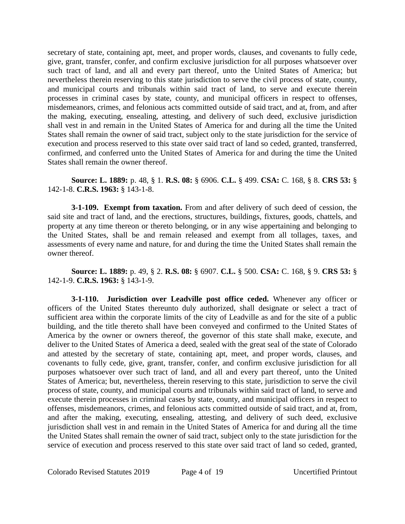secretary of state, containing apt, meet, and proper words, clauses, and covenants to fully cede, give, grant, transfer, confer, and confirm exclusive jurisdiction for all purposes whatsoever over such tract of land, and all and every part thereof, unto the United States of America; but nevertheless therein reserving to this state jurisdiction to serve the civil process of state, county, and municipal courts and tribunals within said tract of land, to serve and execute therein processes in criminal cases by state, county, and municipal officers in respect to offenses, misdemeanors, crimes, and felonious acts committed outside of said tract, and at, from, and after the making, executing, ensealing, attesting, and delivery of such deed, exclusive jurisdiction shall vest in and remain in the United States of America for and during all the time the United States shall remain the owner of said tract, subject only to the state jurisdiction for the service of execution and process reserved to this state over said tract of land so ceded, granted, transferred, confirmed, and conferred unto the United States of America for and during the time the United States shall remain the owner thereof.

**Source: L. 1889:** p. 48, § 1. **R.S. 08:** § 6906. **C.L.** § 499. **CSA:** C. 168, § 8. **CRS 53:** § 142-1-8. **C.R.S. 1963:** § 143-1-8.

**3-1-109. Exempt from taxation.** From and after delivery of such deed of cession, the said site and tract of land, and the erections, structures, buildings, fixtures, goods, chattels, and property at any time thereon or thereto belonging, or in any wise appertaining and belonging to the United States, shall be and remain released and exempt from all tollages, taxes, and assessments of every name and nature, for and during the time the United States shall remain the owner thereof.

**Source: L. 1889:** p. 49, § 2. **R.S. 08:** § 6907. **C.L.** § 500. **CSA:** C. 168, § 9. **CRS 53:** § 142-1-9. **C.R.S. 1963:** § 143-1-9.

**3-1-110. Jurisdiction over Leadville post office ceded.** Whenever any officer or officers of the United States thereunto duly authorized, shall designate or select a tract of sufficient area within the corporate limits of the city of Leadville as and for the site of a public building, and the title thereto shall have been conveyed and confirmed to the United States of America by the owner or owners thereof, the governor of this state shall make, execute, and deliver to the United States of America a deed, sealed with the great seal of the state of Colorado and attested by the secretary of state, containing apt, meet, and proper words, clauses, and covenants to fully cede, give, grant, transfer, confer, and confirm exclusive jurisdiction for all purposes whatsoever over such tract of land, and all and every part thereof, unto the United States of America; but, nevertheless, therein reserving to this state, jurisdiction to serve the civil process of state, county, and municipal courts and tribunals within said tract of land, to serve and execute therein processes in criminal cases by state, county, and municipal officers in respect to offenses, misdemeanors, crimes, and felonious acts committed outside of said tract, and at, from, and after the making, executing, ensealing, attesting, and delivery of such deed, exclusive jurisdiction shall vest in and remain in the United States of America for and during all the time the United States shall remain the owner of said tract, subject only to the state jurisdiction for the service of execution and process reserved to this state over said tract of land so ceded, granted,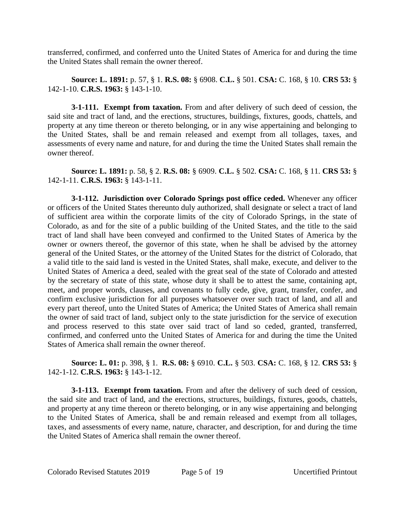transferred, confirmed, and conferred unto the United States of America for and during the time the United States shall remain the owner thereof.

**Source: L. 1891:** p. 57, § 1. **R.S. 08:** § 6908. **C.L.** § 501. **CSA:** C. 168, § 10. **CRS 53:** § 142-1-10. **C.R.S. 1963:** § 143-1-10.

**3-1-111. Exempt from taxation.** From and after delivery of such deed of cession, the said site and tract of land, and the erections, structures, buildings, fixtures, goods, chattels, and property at any time thereon or thereto belonging, or in any wise appertaining and belonging to the United States, shall be and remain released and exempt from all tollages, taxes, and assessments of every name and nature, for and during the time the United States shall remain the owner thereof.

**Source: L. 1891:** p. 58, § 2. **R.S. 08:** § 6909. **C.L.** § 502. **CSA:** C. 168, § 11. **CRS 53:** § 142-1-11. **C.R.S. 1963:** § 143-1-11.

**3-1-112. Jurisdiction over Colorado Springs post office ceded.** Whenever any officer or officers of the United States thereunto duly authorized, shall designate or select a tract of land of sufficient area within the corporate limits of the city of Colorado Springs, in the state of Colorado, as and for the site of a public building of the United States, and the title to the said tract of land shall have been conveyed and confirmed to the United States of America by the owner or owners thereof, the governor of this state, when he shall be advised by the attorney general of the United States, or the attorney of the United States for the district of Colorado, that a valid title to the said land is vested in the United States, shall make, execute, and deliver to the United States of America a deed, sealed with the great seal of the state of Colorado and attested by the secretary of state of this state, whose duty it shall be to attest the same, containing apt, meet, and proper words, clauses, and covenants to fully cede, give, grant, transfer, confer, and confirm exclusive jurisdiction for all purposes whatsoever over such tract of land, and all and every part thereof, unto the United States of America; the United States of America shall remain the owner of said tract of land, subject only to the state jurisdiction for the service of execution and process reserved to this state over said tract of land so ceded, granted, transferred, confirmed, and conferred unto the United States of America for and during the time the United States of America shall remain the owner thereof.

**Source: L. 01:** p. 398, § 1. **R.S. 08:** § 6910. **C.L.** § 503. **CSA:** C. 168, § 12. **CRS 53:** § 142-1-12. **C.R.S. 1963:** § 143-1-12.

**3-1-113. Exempt from taxation.** From and after the delivery of such deed of cession, the said site and tract of land, and the erections, structures, buildings, fixtures, goods, chattels, and property at any time thereon or thereto belonging, or in any wise appertaining and belonging to the United States of America, shall be and remain released and exempt from all tollages, taxes, and assessments of every name, nature, character, and description, for and during the time the United States of America shall remain the owner thereof.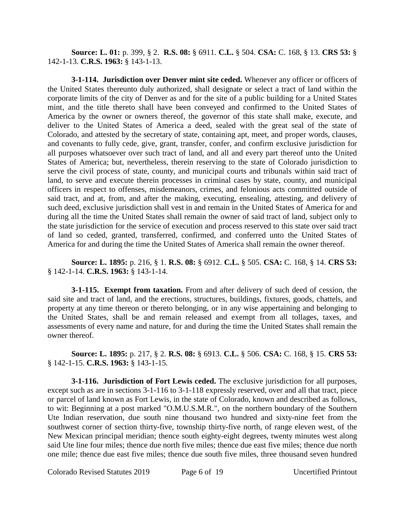**Source: L. 01:** p. 399, § 2. **R.S. 08:** § 6911. **C.L.** § 504. **CSA:** C. 168, § 13. **CRS 53:** § 142-1-13. **C.R.S. 1963:** § 143-1-13.

**3-1-114. Jurisdiction over Denver mint site ceded.** Whenever any officer or officers of the United States thereunto duly authorized, shall designate or select a tract of land within the corporate limits of the city of Denver as and for the site of a public building for a United States mint, and the title thereto shall have been conveyed and confirmed to the United States of America by the owner or owners thereof, the governor of this state shall make, execute, and deliver to the United States of America a deed, sealed with the great seal of the state of Colorado, and attested by the secretary of state, containing apt, meet, and proper words, clauses, and covenants to fully cede, give, grant, transfer, confer, and confirm exclusive jurisdiction for all purposes whatsoever over such tract of land, and all and every part thereof unto the United States of America; but, nevertheless, therein reserving to the state of Colorado jurisdiction to serve the civil process of state, county, and municipal courts and tribunals within said tract of land, to serve and execute therein processes in criminal cases by state, county, and municipal officers in respect to offenses, misdemeanors, crimes, and felonious acts committed outside of said tract, and at, from, and after the making, executing, ensealing, attesting, and delivery of such deed, exclusive jurisdiction shall vest in and remain in the United States of America for and during all the time the United States shall remain the owner of said tract of land, subject only to the state jurisdiction for the service of execution and process reserved to this state over said tract of land so ceded, granted, transferred, confirmed, and conferred unto the United States of America for and during the time the United States of America shall remain the owner thereof.

**Source: L. 1895:** p. 216, § 1. **R.S. 08:** § 6912. **C.L.** § 505. **CSA:** C. 168, § 14. **CRS 53:** § 142-1-14. **C.R.S. 1963:** § 143-1-14.

**3-1-115. Exempt from taxation.** From and after delivery of such deed of cession, the said site and tract of land, and the erections, structures, buildings, fixtures, goods, chattels, and property at any time thereon or thereto belonging, or in any wise appertaining and belonging to the United States, shall be and remain released and exempt from all tollages, taxes, and assessments of every name and nature, for and during the time the United States shall remain the owner thereof.

**Source: L. 1895:** p. 217, § 2. **R.S. 08:** § 6913. **C.L.** § 506. **CSA:** C. 168, § 15. **CRS 53:** § 142-1-15. **C.R.S. 1963:** § 143-1-15.

**3-1-116. Jurisdiction of Fort Lewis ceded.** The exclusive jurisdiction for all purposes, except such as are in sections 3-1-116 to 3-1-118 expressly reserved, over and all that tract, piece or parcel of land known as Fort Lewis, in the state of Colorado, known and described as follows, to wit: Beginning at a post marked "O.M.U.S.M.R.", on the northern boundary of the Southern Ute Indian reservation, due south nine thousand two hundred and sixty-nine feet from the southwest corner of section thirty-five, township thirty-five north, of range eleven west, of the New Mexican principal meridian; thence south eighty-eight degrees, twenty minutes west along said Ute line four miles; thence due north five miles; thence due east five miles; thence due north one mile; thence due east five miles; thence due south five miles, three thousand seven hundred

Colorado Revised Statutes 2019 Page 6 of 19 Uncertified Printout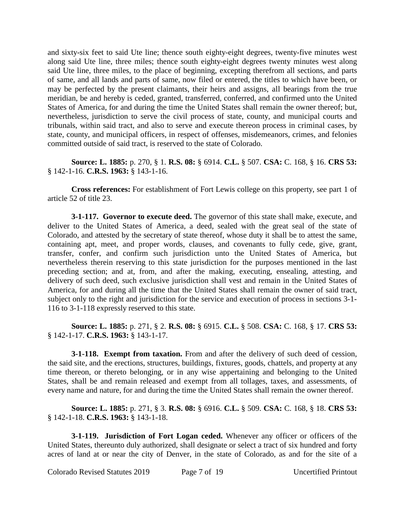and sixty-six feet to said Ute line; thence south eighty-eight degrees, twenty-five minutes west along said Ute line, three miles; thence south eighty-eight degrees twenty minutes west along said Ute line, three miles, to the place of beginning, excepting therefrom all sections, and parts of same, and all lands and parts of same, now filed or entered, the titles to which have been, or may be perfected by the present claimants, their heirs and assigns, all bearings from the true meridian, be and hereby is ceded, granted, transferred, conferred, and confirmed unto the United States of America, for and during the time the United States shall remain the owner thereof; but, nevertheless, jurisdiction to serve the civil process of state, county, and municipal courts and tribunals, within said tract, and also to serve and execute thereon process in criminal cases, by state, county, and municipal officers, in respect of offenses, misdemeanors, crimes, and felonies committed outside of said tract, is reserved to the state of Colorado.

**Source: L. 1885:** p. 270, § 1. **R.S. 08:** § 6914. **C.L.** § 507. **CSA:** C. 168, § 16. **CRS 53:** § 142-1-16. **C.R.S. 1963:** § 143-1-16.

**Cross references:** For establishment of Fort Lewis college on this property, see part 1 of article 52 of title 23.

**3-1-117. Governor to execute deed.** The governor of this state shall make, execute, and deliver to the United States of America, a deed, sealed with the great seal of the state of Colorado, and attested by the secretary of state thereof, whose duty it shall be to attest the same, containing apt, meet, and proper words, clauses, and covenants to fully cede, give, grant, transfer, confer, and confirm such jurisdiction unto the United States of America, but nevertheless therein reserving to this state jurisdiction for the purposes mentioned in the last preceding section; and at, from, and after the making, executing, ensealing, attesting, and delivery of such deed, such exclusive jurisdiction shall vest and remain in the United States of America, for and during all the time that the United States shall remain the owner of said tract, subject only to the right and jurisdiction for the service and execution of process in sections 3-1- 116 to 3-1-118 expressly reserved to this state.

**Source: L. 1885:** p. 271, § 2. **R.S. 08:** § 6915. **C.L.** § 508. **CSA:** C. 168, § 17. **CRS 53:** § 142-1-17. **C.R.S. 1963:** § 143-1-17.

**3-1-118. Exempt from taxation.** From and after the delivery of such deed of cession, the said site, and the erections, structures, buildings, fixtures, goods, chattels, and property at any time thereon, or thereto belonging, or in any wise appertaining and belonging to the United States, shall be and remain released and exempt from all tollages, taxes, and assessments, of every name and nature, for and during the time the United States shall remain the owner thereof.

**Source: L. 1885:** p. 271, § 3. **R.S. 08:** § 6916. **C.L.** § 509. **CSA:** C. 168, § 18. **CRS 53:** § 142-1-18. **C.R.S. 1963:** § 143-1-18.

**3-1-119. Jurisdiction of Fort Logan ceded.** Whenever any officer or officers of the United States, thereunto duly authorized, shall designate or select a tract of six hundred and forty acres of land at or near the city of Denver, in the state of Colorado, as and for the site of a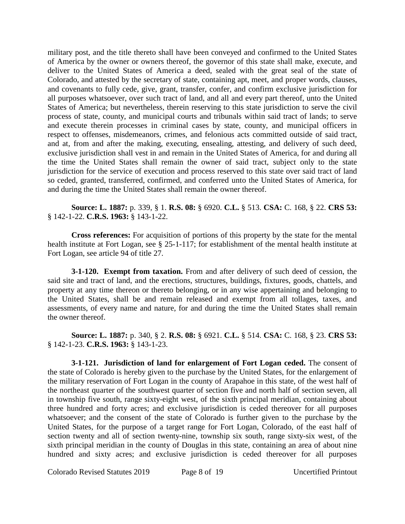military post, and the title thereto shall have been conveyed and confirmed to the United States of America by the owner or owners thereof, the governor of this state shall make, execute, and deliver to the United States of America a deed, sealed with the great seal of the state of Colorado, and attested by the secretary of state, containing apt, meet, and proper words, clauses, and covenants to fully cede, give, grant, transfer, confer, and confirm exclusive jurisdiction for all purposes whatsoever, over such tract of land, and all and every part thereof, unto the United States of America; but nevertheless, therein reserving to this state jurisdiction to serve the civil process of state, county, and municipal courts and tribunals within said tract of lands; to serve and execute therein processes in criminal cases by state, county, and municipal officers in respect to offenses, misdemeanors, crimes, and felonious acts committed outside of said tract, and at, from and after the making, executing, ensealing, attesting, and delivery of such deed, exclusive jurisdiction shall vest in and remain in the United States of America, for and during all the time the United States shall remain the owner of said tract, subject only to the state jurisdiction for the service of execution and process reserved to this state over said tract of land so ceded, granted, transferred, confirmed, and conferred unto the United States of America, for and during the time the United States shall remain the owner thereof.

**Source: L. 1887:** p. 339, § 1. **R.S. 08:** § 6920. **C.L.** § 513. **CSA:** C. 168, § 22. **CRS 53:** § 142-1-22. **C.R.S. 1963:** § 143-1-22.

**Cross references:** For acquisition of portions of this property by the state for the mental health institute at Fort Logan, see § 25-1-117; for establishment of the mental health institute at Fort Logan, see article 94 of title 27.

**3-1-120. Exempt from taxation.** From and after delivery of such deed of cession, the said site and tract of land, and the erections, structures, buildings, fixtures, goods, chattels, and property at any time thereon or thereto belonging, or in any wise appertaining and belonging to the United States, shall be and remain released and exempt from all tollages, taxes, and assessments, of every name and nature, for and during the time the United States shall remain the owner thereof.

**Source: L. 1887:** p. 340, § 2. **R.S. 08:** § 6921. **C.L.** § 514. **CSA:** C. 168, § 23. **CRS 53:** § 142-1-23. **C.R.S. 1963:** § 143-1-23.

**3-1-121. Jurisdiction of land for enlargement of Fort Logan ceded.** The consent of the state of Colorado is hereby given to the purchase by the United States, for the enlargement of the military reservation of Fort Logan in the county of Arapahoe in this state, of the west half of the northeast quarter of the southwest quarter of section five and north half of section seven, all in township five south, range sixty-eight west, of the sixth principal meridian, containing about three hundred and forty acres; and exclusive jurisdiction is ceded thereover for all purposes whatsoever; and the consent of the state of Colorado is further given to the purchase by the United States, for the purpose of a target range for Fort Logan, Colorado, of the east half of section twenty and all of section twenty-nine, township six south, range sixty-six west, of the sixth principal meridian in the county of Douglas in this state, containing an area of about nine hundred and sixty acres; and exclusive jurisdiction is ceded thereover for all purposes

Colorado Revised Statutes 2019 Page 8 of 19 Uncertified Printout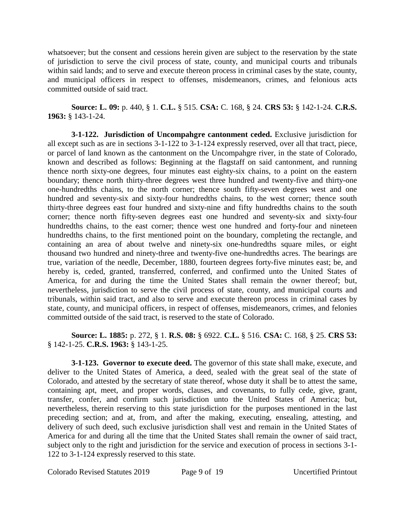whatsoever; but the consent and cessions herein given are subject to the reservation by the state of jurisdiction to serve the civil process of state, county, and municipal courts and tribunals within said lands; and to serve and execute thereon process in criminal cases by the state, county, and municipal officers in respect to offenses, misdemeanors, crimes, and felonious acts committed outside of said tract.

**Source: L. 09:** p. 440, § 1. **C.L.** § 515. **CSA:** C. 168, § 24. **CRS 53:** § 142-1-24. **C.R.S. 1963:** § 143-1-24.

**3-1-122. Jurisdiction of Uncompahgre cantonment ceded.** Exclusive jurisdiction for all except such as are in sections 3-1-122 to 3-1-124 expressly reserved, over all that tract, piece, or parcel of land known as the cantonment on the Uncompahgre river, in the state of Colorado, known and described as follows: Beginning at the flagstaff on said cantonment, and running thence north sixty-one degrees, four minutes east eighty-six chains, to a point on the eastern boundary; thence north thirty-three degrees west three hundred and twenty-five and thirty-one one-hundredths chains, to the north corner; thence south fifty-seven degrees west and one hundred and seventy-six and sixty-four hundredths chains, to the west corner; thence south thirty-three degrees east four hundred and sixty-nine and fifty hundredths chains to the south corner; thence north fifty-seven degrees east one hundred and seventy-six and sixty-four hundredths chains, to the east corner; thence west one hundred and forty-four and nineteen hundredths chains, to the first mentioned point on the boundary, completing the rectangle, and containing an area of about twelve and ninety-six one-hundredths square miles, or eight thousand two hundred and ninety-three and twenty-five one-hundredths acres. The bearings are true, variation of the needle, December, 1880, fourteen degrees forty-five minutes east; be, and hereby is, ceded, granted, transferred, conferred, and confirmed unto the United States of America, for and during the time the United States shall remain the owner thereof; but, nevertheless, jurisdiction to serve the civil process of state, county, and municipal courts and tribunals, within said tract, and also to serve and execute thereon process in criminal cases by state, county, and municipal officers, in respect of offenses, misdemeanors, crimes, and felonies committed outside of the said tract, is reserved to the state of Colorado.

# **Source: L. 1885:** p. 272, § 1. **R.S. 08:** § 6922. **C.L.** § 516. **CSA:** C. 168, § 25. **CRS 53:** § 142-1-25. **C.R.S. 1963:** § 143-1-25.

**3-1-123. Governor to execute deed.** The governor of this state shall make, execute, and deliver to the United States of America, a deed, sealed with the great seal of the state of Colorado, and attested by the secretary of state thereof, whose duty it shall be to attest the same, containing apt, meet, and proper words, clauses, and covenants, to fully cede, give, grant, transfer, confer, and confirm such jurisdiction unto the United States of America; but, nevertheless, therein reserving to this state jurisdiction for the purposes mentioned in the last preceding section; and at, from, and after the making, executing, ensealing, attesting, and delivery of such deed, such exclusive jurisdiction shall vest and remain in the United States of America for and during all the time that the United States shall remain the owner of said tract, subject only to the right and jurisdiction for the service and execution of process in sections 3-1- 122 to 3-1-124 expressly reserved to this state.

Colorado Revised Statutes 2019 Page 9 of 19 Uncertified Printout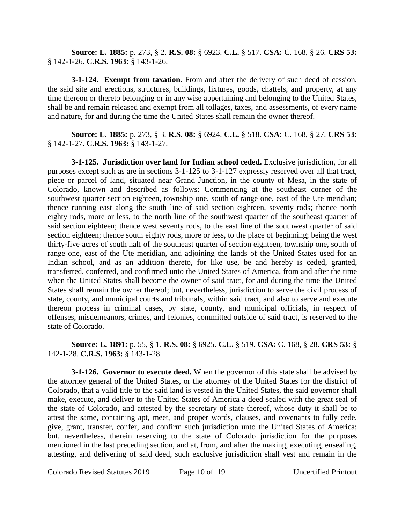**Source: L. 1885:** p. 273, § 2. **R.S. 08:** § 6923. **C.L.** § 517. **CSA:** C. 168, § 26. **CRS 53:** § 142-1-26. **C.R.S. 1963:** § 143-1-26.

**3-1-124. Exempt from taxation.** From and after the delivery of such deed of cession, the said site and erections, structures, buildings, fixtures, goods, chattels, and property, at any time thereon or thereto belonging or in any wise appertaining and belonging to the United States, shall be and remain released and exempt from all tollages, taxes, and assessments, of every name and nature, for and during the time the United States shall remain the owner thereof.

**Source: L. 1885:** p. 273, § 3. **R.S. 08:** § 6924. **C.L.** § 518. **CSA:** C. 168, § 27. **CRS 53:** § 142-1-27. **C.R.S. 1963:** § 143-1-27.

**3-1-125. Jurisdiction over land for Indian school ceded.** Exclusive jurisdiction, for all purposes except such as are in sections 3-1-125 to 3-1-127 expressly reserved over all that tract, piece or parcel of land, situated near Grand Junction, in the county of Mesa, in the state of Colorado, known and described as follows: Commencing at the southeast corner of the southwest quarter section eighteen, township one, south of range one, east of the Ute meridian; thence running east along the south line of said section eighteen, seventy rods; thence north eighty rods, more or less, to the north line of the southwest quarter of the southeast quarter of said section eighteen; thence west seventy rods, to the east line of the southwest quarter of said section eighteen; thence south eighty rods, more or less, to the place of beginning; being the west thirty-five acres of south half of the southeast quarter of section eighteen, township one, south of range one, east of the Ute meridian, and adjoining the lands of the United States used for an Indian school, and as an addition thereto, for like use, be and hereby is ceded, granted, transferred, conferred, and confirmed unto the United States of America, from and after the time when the United States shall become the owner of said tract, for and during the time the United States shall remain the owner thereof; but, nevertheless, jurisdiction to serve the civil process of state, county, and municipal courts and tribunals, within said tract, and also to serve and execute thereon process in criminal cases, by state, county, and municipal officials, in respect of offenses, misdemeanors, crimes, and felonies, committed outside of said tract, is reserved to the state of Colorado.

**Source: L. 1891:** p. 55, § 1. **R.S. 08:** § 6925. **C.L.** § 519. **CSA:** C. 168, § 28. **CRS 53:** § 142-1-28. **C.R.S. 1963:** § 143-1-28.

**3-1-126. Governor to execute deed.** When the governor of this state shall be advised by the attorney general of the United States, or the attorney of the United States for the district of Colorado, that a valid title to the said land is vested in the United States, the said governor shall make, execute, and deliver to the United States of America a deed sealed with the great seal of the state of Colorado, and attested by the secretary of state thereof, whose duty it shall be to attest the same, containing apt, meet, and proper words, clauses, and covenants to fully cede, give, grant, transfer, confer, and confirm such jurisdiction unto the United States of America; but, nevertheless, therein reserving to the state of Colorado jurisdiction for the purposes mentioned in the last preceding section, and at, from, and after the making, executing, ensealing, attesting, and delivering of said deed, such exclusive jurisdiction shall vest and remain in the

Colorado Revised Statutes 2019 Page 10 of 19 Uncertified Printout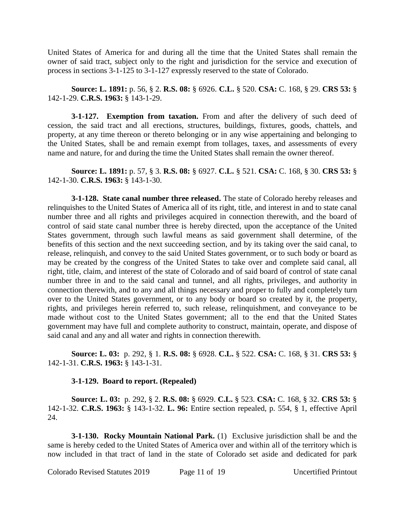United States of America for and during all the time that the United States shall remain the owner of said tract, subject only to the right and jurisdiction for the service and execution of process in sections 3-1-125 to 3-1-127 expressly reserved to the state of Colorado.

**Source: L. 1891:** p. 56, § 2. **R.S. 08:** § 6926. **C.L.** § 520. **CSA:** C. 168, § 29. **CRS 53:** § 142-1-29. **C.R.S. 1963:** § 143-1-29.

**3-1-127. Exemption from taxation.** From and after the delivery of such deed of cession, the said tract and all erections, structures, buildings, fixtures, goods, chattels, and property, at any time thereon or thereto belonging or in any wise appertaining and belonging to the United States, shall be and remain exempt from tollages, taxes, and assessments of every name and nature, for and during the time the United States shall remain the owner thereof.

**Source: L. 1891:** p. 57, § 3. **R.S. 08:** § 6927. **C.L.** § 521. **CSA:** C. 168, § 30. **CRS 53:** § 142-1-30. **C.R.S. 1963:** § 143-1-30.

**3-1-128. State canal number three released.** The state of Colorado hereby releases and relinquishes to the United States of America all of its right, title, and interest in and to state canal number three and all rights and privileges acquired in connection therewith, and the board of control of said state canal number three is hereby directed, upon the acceptance of the United States government, through such lawful means as said government shall determine, of the benefits of this section and the next succeeding section, and by its taking over the said canal, to release, relinquish, and convey to the said United States government, or to such body or board as may be created by the congress of the United States to take over and complete said canal, all right, title, claim, and interest of the state of Colorado and of said board of control of state canal number three in and to the said canal and tunnel, and all rights, privileges, and authority in connection therewith, and to any and all things necessary and proper to fully and completely turn over to the United States government, or to any body or board so created by it, the property, rights, and privileges herein referred to, such release, relinquishment, and conveyance to be made without cost to the United States government; all to the end that the United States government may have full and complete authority to construct, maintain, operate, and dispose of said canal and any and all water and rights in connection therewith.

**Source: L. 03:** p. 292, § 1. **R.S. 08:** § 6928. **C.L.** § 522. **CSA:** C. 168, § 31. **CRS 53:** § 142-1-31. **C.R.S. 1963:** § 143-1-31.

#### **3-1-129. Board to report. (Repealed)**

**Source: L. 03:** p. 292, § 2. **R.S. 08:** § 6929. **C.L.** § 523. **CSA:** C. 168, § 32. **CRS 53:** § 142-1-32. **C.R.S. 1963:** § 143-1-32. **L. 96:** Entire section repealed, p. 554, § 1, effective April 24.

**3-1-130. Rocky Mountain National Park.** (1) Exclusive jurisdiction shall be and the same is hereby ceded to the United States of America over and within all of the territory which is now included in that tract of land in the state of Colorado set aside and dedicated for park

Colorado Revised Statutes 2019 Page 11 of 19 Uncertified Printout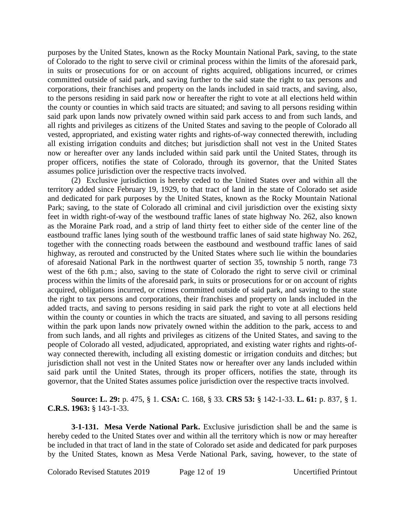purposes by the United States, known as the Rocky Mountain National Park, saving, to the state of Colorado to the right to serve civil or criminal process within the limits of the aforesaid park, in suits or prosecutions for or on account of rights acquired, obligations incurred, or crimes committed outside of said park, and saving further to the said state the right to tax persons and corporations, their franchises and property on the lands included in said tracts, and saving, also, to the persons residing in said park now or hereafter the right to vote at all elections held within the county or counties in which said tracts are situated; and saving to all persons residing within said park upon lands now privately owned within said park access to and from such lands, and all rights and privileges as citizens of the United States and saving to the people of Colorado all vested, appropriated, and existing water rights and rights-of-way connected therewith, including all existing irrigation conduits and ditches; but jurisdiction shall not vest in the United States now or hereafter over any lands included within said park until the United States, through its proper officers, notifies the state of Colorado, through its governor, that the United States assumes police jurisdiction over the respective tracts involved.

(2) Exclusive jurisdiction is hereby ceded to the United States over and within all the territory added since February 19, 1929, to that tract of land in the state of Colorado set aside and dedicated for park purposes by the United States, known as the Rocky Mountain National Park; saving, to the state of Colorado all criminal and civil jurisdiction over the existing sixty feet in width right-of-way of the westbound traffic lanes of state highway No. 262, also known as the Moraine Park road, and a strip of land thirty feet to either side of the center line of the eastbound traffic lanes lying south of the westbound traffic lanes of said state highway No. 262, together with the connecting roads between the eastbound and westbound traffic lanes of said highway, as rerouted and constructed by the United States where such lie within the boundaries of aforesaid National Park in the northwest quarter of section 35, township 5 north, range 73 west of the 6th p.m.; also, saving to the state of Colorado the right to serve civil or criminal process within the limits of the aforesaid park, in suits or prosecutions for or on account of rights acquired, obligations incurred, or crimes committed outside of said park, and saving to the state the right to tax persons and corporations, their franchises and property on lands included in the added tracts, and saving to persons residing in said park the right to vote at all elections held within the county or counties in which the tracts are situated, and saving to all persons residing within the park upon lands now privately owned within the addition to the park, access to and from such lands, and all rights and privileges as citizens of the United States, and saving to the people of Colorado all vested, adjudicated, appropriated, and existing water rights and rights-ofway connected therewith, including all existing domestic or irrigation conduits and ditches; but jurisdiction shall not vest in the United States now or hereafter over any lands included within said park until the United States, through its proper officers, notifies the state, through its governor, that the United States assumes police jurisdiction over the respective tracts involved.

**Source: L. 29:** p. 475, § 1. **CSA:** C. 168, § 33. **CRS 53:** § 142-1-33. **L. 61:** p. 837, § 1. **C.R.S. 1963:** § 143-1-33.

**3-1-131. Mesa Verde National Park.** Exclusive jurisdiction shall be and the same is hereby ceded to the United States over and within all the territory which is now or may hereafter be included in that tract of land in the state of Colorado set aside and dedicated for park purposes by the United States, known as Mesa Verde National Park, saving, however, to the state of

Colorado Revised Statutes 2019 Page 12 of 19 Uncertified Printout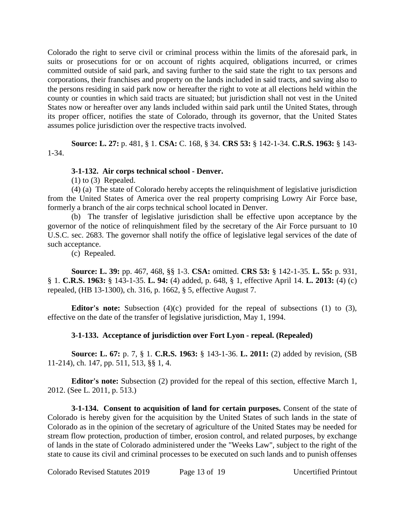Colorado the right to serve civil or criminal process within the limits of the aforesaid park, in suits or prosecutions for or on account of rights acquired, obligations incurred, or crimes committed outside of said park, and saving further to the said state the right to tax persons and corporations, their franchises and property on the lands included in said tracts, and saving also to the persons residing in said park now or hereafter the right to vote at all elections held within the county or counties in which said tracts are situated; but jurisdiction shall not vest in the United States now or hereafter over any lands included within said park until the United States, through its proper officer, notifies the state of Colorado, through its governor, that the United States assumes police jurisdiction over the respective tracts involved.

**Source: L. 27:** p. 481, § 1. **CSA:** C. 168, § 34. **CRS 53:** § 142-1-34. **C.R.S. 1963:** § 143- 1-34.

# **3-1-132. Air corps technical school - Denver.**

(1) to (3) Repealed.

(4) (a) The state of Colorado hereby accepts the relinquishment of legislative jurisdiction from the United States of America over the real property comprising Lowry Air Force base, formerly a branch of the air corps technical school located in Denver.

(b) The transfer of legislative jurisdiction shall be effective upon acceptance by the governor of the notice of relinquishment filed by the secretary of the Air Force pursuant to 10 U.S.C. sec. 2683. The governor shall notify the office of legislative legal services of the date of such acceptance.

(c) Repealed.

**Source: L. 39:** pp. 467, 468, §§ 1-3. **CSA:** omitted. **CRS 53:** § 142-1-35. **L. 55:** p. 931, § 1. **C.R.S. 1963:** § 143-1-35. **L. 94:** (4) added, p. 648, § 1, effective April 14. **L. 2013:** (4) (c) repealed, (HB 13-1300), ch. 316, p. 1662, § 5, effective August 7.

**Editor's note:** Subsection (4)(c) provided for the repeal of subsections (1) to (3), effective on the date of the transfer of legislative jurisdiction, May 1, 1994.

# **3-1-133. Acceptance of jurisdiction over Fort Lyon - repeal. (Repealed)**

**Source: L. 67:** p. 7, § 1. **C.R.S. 1963:** § 143-1-36. **L. 2011:** (2) added by revision, (SB 11-214), ch. 147, pp. 511, 513, §§ 1, 4.

**Editor's note:** Subsection (2) provided for the repeal of this section, effective March 1, 2012. (See L. 2011, p. 513.)

**3-1-134. Consent to acquisition of land for certain purposes.** Consent of the state of Colorado is hereby given for the acquisition by the United States of such lands in the state of Colorado as in the opinion of the secretary of agriculture of the United States may be needed for stream flow protection, production of timber, erosion control, and related purposes, by exchange of lands in the state of Colorado administered under the "Weeks Law", subject to the right of the state to cause its civil and criminal processes to be executed on such lands and to punish offenses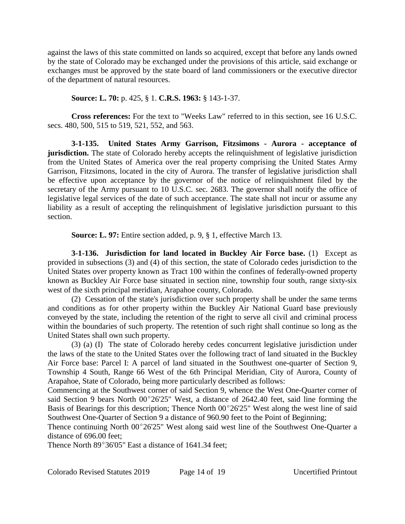against the laws of this state committed on lands so acquired, except that before any lands owned by the state of Colorado may be exchanged under the provisions of this article, said exchange or exchanges must be approved by the state board of land commissioners or the executive director of the department of natural resources.

#### **Source: L. 70:** p. 425, § 1. **C.R.S. 1963:** § 143-1-37.

**Cross references:** For the text to "Weeks Law" referred to in this section, see 16 U.S.C. secs. 480, 500, 515 to 519, 521, 552, and 563.

**3-1-135. United States Army Garrison, Fitzsimons - Aurora - acceptance of jurisdiction.** The state of Colorado hereby accepts the relinquishment of legislative jurisdiction from the United States of America over the real property comprising the United States Army Garrison, Fitzsimons, located in the city of Aurora. The transfer of legislative jurisdiction shall be effective upon acceptance by the governor of the notice of relinquishment filed by the secretary of the Army pursuant to 10 U.S.C. sec. 2683. The governor shall notify the office of legislative legal services of the date of such acceptance. The state shall not incur or assume any liability as a result of accepting the relinquishment of legislative jurisdiction pursuant to this section.

**Source: L. 97:** Entire section added, p. 9, § 1, effective March 13.

**3-1-136. Jurisdiction for land located in Buckley Air Force base.** (1) Except as provided in subsections (3) and (4) of this section, the state of Colorado cedes jurisdiction to the United States over property known as Tract 100 within the confines of federally-owned property known as Buckley Air Force base situated in section nine, township four south, range sixty-six west of the sixth principal meridian, Arapahoe county, Colorado.

(2) Cessation of the state's jurisdiction over such property shall be under the same terms and conditions as for other property within the Buckley Air National Guard base previously conveyed by the state, including the retention of the right to serve all civil and criminal process within the boundaries of such property. The retention of such right shall continue so long as the United States shall own such property.

(3) (a) (I) The state of Colorado hereby cedes concurrent legislative jurisdiction under the laws of the state to the United States over the following tract of land situated in the Buckley Air Force base: Parcel I: A parcel of land situated in the Southwest one-quarter of Section 9, Township 4 South, Range 66 West of the 6th Principal Meridian, City of Aurora, County of Arapahoe, State of Colorado, being more particularly described as follows:

Commencing at the Southwest corner of said Section 9, whence the West One-Quarter corner of said Section 9 bears North  $00^{\circ}26'25''$  West, a distance of 2642.40 feet, said line forming the Basis of Bearings for this description; Thence North  $00^{\circ}26'25''$  West along the west line of said Southwest One-Quarter of Section 9 a distance of 960.90 feet to the Point of Beginning;

Thence continuing North  $00^{\circ}26'25''$  West along said west line of the Southwest One-Quarter a distance of 696.00 feet;

Thence North  $89^{\circ}36'05''$  East a distance of 1641.34 feet;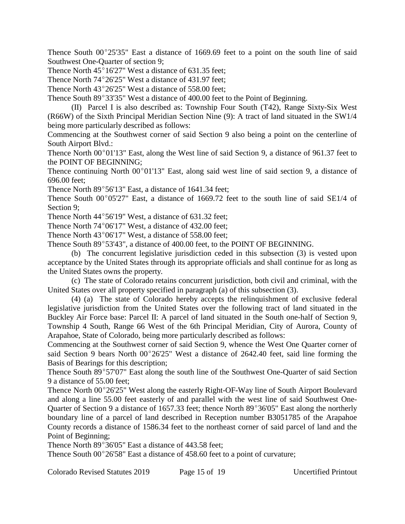Thence South  $00^{\circ}25'35''$  East a distance of 1669.69 feet to a point on the south line of said Southwest One-Quarter of section 9;

Thence North  $45^{\circ}16'27''$  West a distance of 631.35 feet;

Thence North  $74^{\circ}26'25''$  West a distance of 431.97 feet;

Thence North  $43^{\circ}26'25''$  West a distance of 558.00 feet;

Thence South  $89^{\circ}33'35''$  West a distance of 400.00 feet to the Point of Beginning.

(II) Parcel I is also described as: Township Four South (T42), Range Sixty-Six West (R66W) of the Sixth Principal Meridian Section Nine (9): A tract of land situated in the SW1/4 being more particularly described as follows:

Commencing at the Southwest corner of said Section 9 also being a point on the centerline of South Airport Blvd.:

Thence North  $00^{\circ}01'13''$  East, along the West line of said Section 9, a distance of 961.37 feet to the POINT OF BEGINNING;

Thence continuing North  $00^{\circ}01'13''$  East, along said west line of said section 9, a distance of 696.00 feet;

Thence North  $89^{\circ}56'13''$  East, a distance of 1641.34 feet;

Thence South  $00^{\circ}05'27''$  East, a distance of 1669.72 feet to the south line of said SE1/4 of Section 9;

Thence North  $44^{\circ}56'19''$  West, a distance of 631.32 feet;

Thence North  $74^{\circ}06'17''$  West, a distance of  $432.00$  feet;

Thence North  $43^{\circ}06'17''$  West, a distance of 558.00 feet;

Thence South 89°53'43", a distance of 400.00 feet, to the POINT OF BEGINNING.

(b) The concurrent legislative jurisdiction ceded in this subsection (3) is vested upon acceptance by the United States through its appropriate officials and shall continue for as long as the United States owns the property.

(c) The state of Colorado retains concurrent jurisdiction, both civil and criminal, with the United States over all property specified in paragraph (a) of this subsection (3).

(4) (a) The state of Colorado hereby accepts the relinquishment of exclusive federal legislative jurisdiction from the United States over the following tract of land situated in the Buckley Air Force base: Parcel II: A parcel of land situated in the South one-half of Section 9, Township 4 South, Range 66 West of the 6th Principal Meridian, City of Aurora, County of Arapahoe, State of Colorado, being more particularly described as follows:

Commencing at the Southwest corner of said Section 9, whence the West One Quarter corner of said Section 9 bears North  $00^{\circ}26'25''$  West a distance of 2642.40 feet, said line forming the Basis of Bearings for this description;

Thence South 89°57'07" East along the south line of the Southwest One-Quarter of said Section 9 a distance of 55.00 feet;

Thence North  $00^{\circ}26'25''$  West along the easterly Right-OF-Way line of South Airport Boulevard and along a line 55.00 feet easterly of and parallel with the west line of said Southwest One-Quarter of Section 9 a distance of 1657.33 feet; thence North 89°36'05" East along the northerly boundary line of a parcel of land described in Reception number B3051785 of the Arapahoe County records a distance of 1586.34 feet to the northeast corner of said parcel of land and the Point of Beginning;

Thence North  $89^{\circ}36'05''$  East a distance of 443.58 feet:

Thence South  $00^{\circ}26'58''$  East a distance of 458.60 feet to a point of curvature;

Colorado Revised Statutes 2019 Page 15 of 19 Uncertified Printout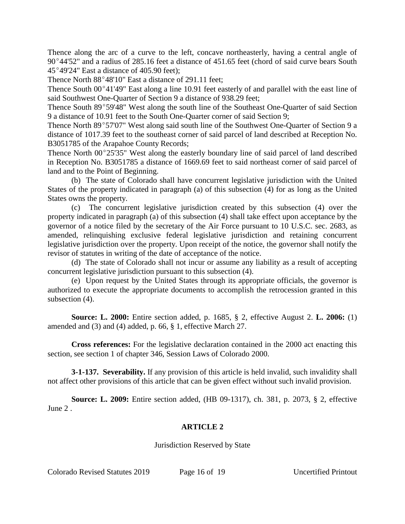Thence along the arc of a curve to the left, concave northeasterly, having a central angle of  $90^{\circ}44'52''$  and a radius of 285.16 feet a distance of 451.65 feet (chord of said curve bears South  $45^{\circ}49'24''$  East a distance of 405.90 feet);

Thence North  $88^{\circ}48'10''$  East a distance of 291.11 feet;

Thence South  $00^{\circ}41'49''$  East along a line 10.91 feet easterly of and parallel with the east line of said Southwest One-Quarter of Section 9 a distance of 938.29 feet;

Thence South 89°59'48" West along the south line of the Southeast One-Quarter of said Section 9 a distance of 10.91 feet to the South One-Quarter corner of said Section 9;

Thence North 89°57'07" West along said south line of the Southwest One-Quarter of Section 9 a distance of 1017.39 feet to the southeast corner of said parcel of land described at Reception No. B3051785 of the Arapahoe County Records;

Thence North  $00^{\circ}25'35''$  West along the easterly boundary line of said parcel of land described in Reception No. B3051785 a distance of 1669.69 feet to said northeast corner of said parcel of land and to the Point of Beginning.

(b) The state of Colorado shall have concurrent legislative jurisdiction with the United States of the property indicated in paragraph (a) of this subsection (4) for as long as the United States owns the property.

(c) The concurrent legislative jurisdiction created by this subsection (4) over the property indicated in paragraph (a) of this subsection (4) shall take effect upon acceptance by the governor of a notice filed by the secretary of the Air Force pursuant to 10 U.S.C. sec. 2683, as amended, relinquishing exclusive federal legislative jurisdiction and retaining concurrent legislative jurisdiction over the property. Upon receipt of the notice, the governor shall notify the revisor of statutes in writing of the date of acceptance of the notice.

(d) The state of Colorado shall not incur or assume any liability as a result of accepting concurrent legislative jurisdiction pursuant to this subsection (4).

(e) Upon request by the United States through its appropriate officials, the governor is authorized to execute the appropriate documents to accomplish the retrocession granted in this subsection (4).

**Source: L. 2000:** Entire section added, p. 1685, § 2, effective August 2. **L. 2006:** (1) amended and (3) and (4) added, p. 66, § 1, effective March 27.

**Cross references:** For the legislative declaration contained in the 2000 act enacting this section, see section 1 of chapter 346, Session Laws of Colorado 2000.

**3-1-137. Severability.** If any provision of this article is held invalid, such invalidity shall not affect other provisions of this article that can be given effect without such invalid provision.

**Source: L. 2009:** Entire section added, (HB 09-1317), ch. 381, p. 2073, § 2, effective June 2 .

# **ARTICLE 2**

Jurisdiction Reserved by State

Colorado Revised Statutes 2019 Page 16 of 19 Uncertified Printout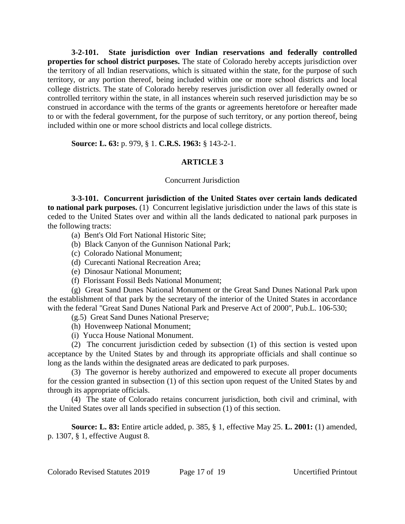**3-2-101. State jurisdiction over Indian reservations and federally controlled properties for school district purposes.** The state of Colorado hereby accepts jurisdiction over the territory of all Indian reservations, which is situated within the state, for the purpose of such territory, or any portion thereof, being included within one or more school districts and local college districts. The state of Colorado hereby reserves jurisdiction over all federally owned or controlled territory within the state, in all instances wherein such reserved jurisdiction may be so construed in accordance with the terms of the grants or agreements heretofore or hereafter made to or with the federal government, for the purpose of such territory, or any portion thereof, being included within one or more school districts and local college districts.

**Source: L. 63:** p. 979, § 1. **C.R.S. 1963:** § 143-2-1.

# **ARTICLE 3**

#### Concurrent Jurisdiction

**3-3-101. Concurrent jurisdiction of the United States over certain lands dedicated to national park purposes.** (1) Concurrent legislative jurisdiction under the laws of this state is ceded to the United States over and within all the lands dedicated to national park purposes in the following tracts:

- (a) Bent's Old Fort National Historic Site;
- (b) Black Canyon of the Gunnison National Park;
- (c) Colorado National Monument;
- (d) Curecanti National Recreation Area;
- (e) Dinosaur National Monument;
- (f) Florissant Fossil Beds National Monument;

(g) Great Sand Dunes National Monument or the Great Sand Dunes National Park upon the establishment of that park by the secretary of the interior of the United States in accordance with the federal "Great Sand Dunes National Park and Preserve Act of 2000", Pub.L. 106-530;

(g.5) Great Sand Dunes National Preserve;

- (h) Hovenweep National Monument;
- (i) Yucca House National Monument.

(2) The concurrent jurisdiction ceded by subsection (1) of this section is vested upon acceptance by the United States by and through its appropriate officials and shall continue so long as the lands within the designated areas are dedicated to park purposes.

(3) The governor is hereby authorized and empowered to execute all proper documents for the cession granted in subsection (1) of this section upon request of the United States by and through its appropriate officials.

(4) The state of Colorado retains concurrent jurisdiction, both civil and criminal, with the United States over all lands specified in subsection (1) of this section.

**Source: L. 83:** Entire article added, p. 385, § 1, effective May 25. **L. 2001:** (1) amended, p. 1307, § 1, effective August 8.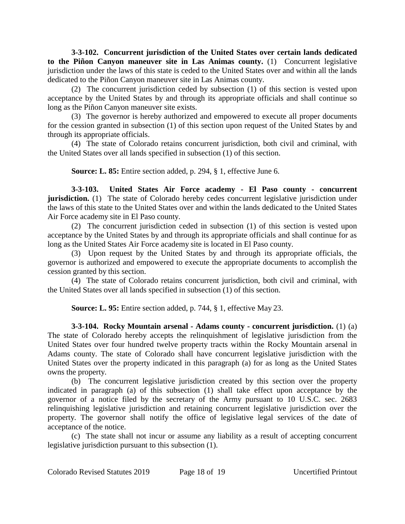**3-3-102. Concurrent jurisdiction of the United States over certain lands dedicated to the Piñon Canyon maneuver site in Las Animas county.** (1) Concurrent legislative jurisdiction under the laws of this state is ceded to the United States over and within all the lands dedicated to the Piñon Canyon maneuver site in Las Animas county.

(2) The concurrent jurisdiction ceded by subsection (1) of this section is vested upon acceptance by the United States by and through its appropriate officials and shall continue so long as the Piñon Canyon maneuver site exists.

(3) The governor is hereby authorized and empowered to execute all proper documents for the cession granted in subsection (1) of this section upon request of the United States by and through its appropriate officials.

(4) The state of Colorado retains concurrent jurisdiction, both civil and criminal, with the United States over all lands specified in subsection (1) of this section.

**Source: L. 85:** Entire section added, p. 294, § 1, effective June 6.

**3-3-103. United States Air Force academy - El Paso county - concurrent jurisdiction.** (1) The state of Colorado hereby cedes concurrent legislative jurisdiction under the laws of this state to the United States over and within the lands dedicated to the United States Air Force academy site in El Paso county.

(2) The concurrent jurisdiction ceded in subsection (1) of this section is vested upon acceptance by the United States by and through its appropriate officials and shall continue for as long as the United States Air Force academy site is located in El Paso county.

(3) Upon request by the United States by and through its appropriate officials, the governor is authorized and empowered to execute the appropriate documents to accomplish the cession granted by this section.

(4) The state of Colorado retains concurrent jurisdiction, both civil and criminal, with the United States over all lands specified in subsection (1) of this section.

**Source: L. 95:** Entire section added, p. 744, § 1, effective May 23.

**3-3-104. Rocky Mountain arsenal - Adams county - concurrent jurisdiction.** (1) (a) The state of Colorado hereby accepts the relinquishment of legislative jurisdiction from the United States over four hundred twelve property tracts within the Rocky Mountain arsenal in Adams county. The state of Colorado shall have concurrent legislative jurisdiction with the United States over the property indicated in this paragraph (a) for as long as the United States owns the property.

(b) The concurrent legislative jurisdiction created by this section over the property indicated in paragraph (a) of this subsection (1) shall take effect upon acceptance by the governor of a notice filed by the secretary of the Army pursuant to 10 U.S.C. sec. 2683 relinquishing legislative jurisdiction and retaining concurrent legislative jurisdiction over the property. The governor shall notify the office of legislative legal services of the date of acceptance of the notice.

(c) The state shall not incur or assume any liability as a result of accepting concurrent legislative jurisdiction pursuant to this subsection (1).